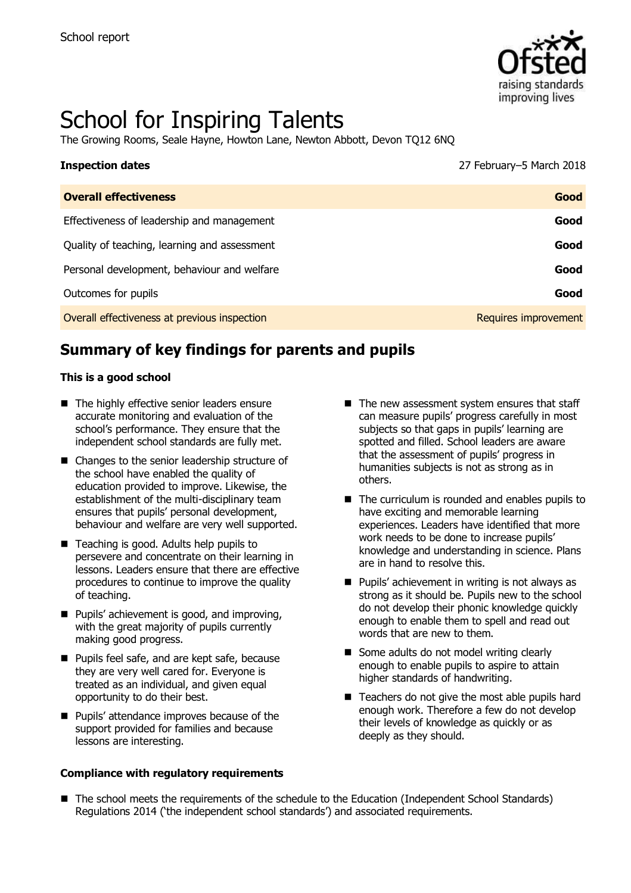

# School for Inspiring Talents

The Growing Rooms, Seale Hayne, Howton Lane, Newton Abbott, Devon TQ12 6NQ

| <b>Inspection dates</b>                      | 27 February-5 March 2018 |
|----------------------------------------------|--------------------------|
| <b>Overall effectiveness</b>                 | Good                     |
| Effectiveness of leadership and management   | Good                     |
| Quality of teaching, learning and assessment | Good                     |
| Personal development, behaviour and welfare  | Good                     |
| Outcomes for pupils                          | Good                     |
| Overall effectiveness at previous inspection | Requires improvement     |

# **Summary of key findings for parents and pupils**

#### **This is a good school**

- The highly effective senior leaders ensure accurate monitoring and evaluation of the school's performance. They ensure that the independent school standards are fully met.
- Changes to the senior leadership structure of the school have enabled the quality of education provided to improve. Likewise, the establishment of the multi-disciplinary team ensures that pupils' personal development, behaviour and welfare are very well supported.
- Teaching is good. Adults help pupils to persevere and concentrate on their learning in lessons. Leaders ensure that there are effective procedures to continue to improve the quality of teaching.
- **Pupils'** achievement is good, and improving, with the great majority of pupils currently making good progress.
- Pupils feel safe, and are kept safe, because they are very well cared for. Everyone is treated as an individual, and given equal opportunity to do their best.
- **Pupils' attendance improves because of the** support provided for families and because lessons are interesting.

#### **Compliance with regulatory requirements**

- $\blacksquare$  The new assessment system ensures that staff can measure pupils' progress carefully in most subjects so that gaps in pupils' learning are spotted and filled. School leaders are aware that the assessment of pupils' progress in humanities subjects is not as strong as in others.
- The curriculum is rounded and enables pupils to have exciting and memorable learning experiences. Leaders have identified that more work needs to be done to increase pupils' knowledge and understanding in science. Plans are in hand to resolve this.
- $\blacksquare$  Pupils' achievement in writing is not always as strong as it should be. Pupils new to the school do not develop their phonic knowledge quickly enough to enable them to spell and read out words that are new to them.
- Some adults do not model writing clearly enough to enable pupils to aspire to attain higher standards of handwriting.
- Teachers do not give the most able pupils hard enough work. Therefore a few do not develop their levels of knowledge as quickly or as deeply as they should.
- The school meets the requirements of the schedule to the Education (Independent School Standards) Regulations 2014 ('the independent school standards') and associated requirements.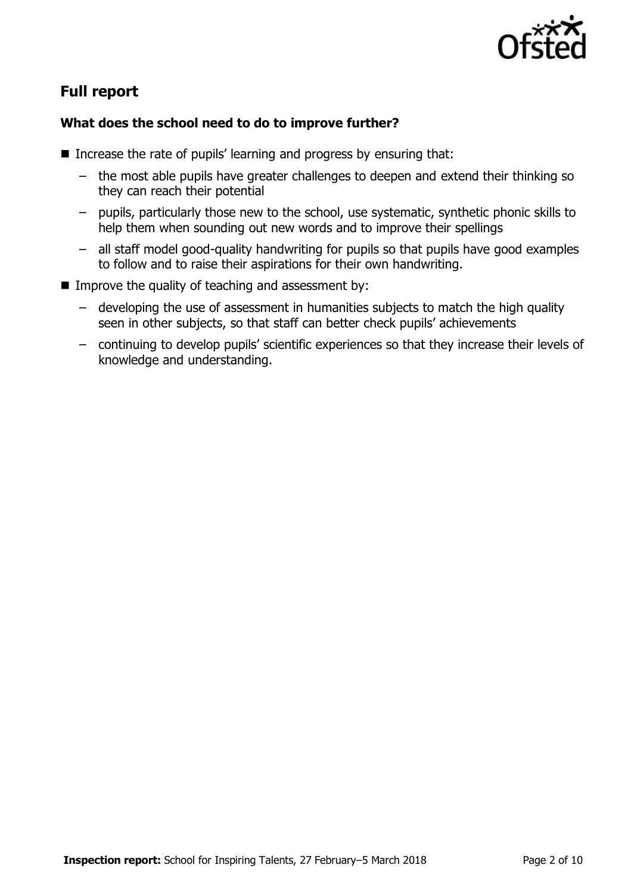

# **Full report**

### **What does the school need to do to improve further?**

- Increase the rate of pupils' learning and progress by ensuring that:
	- the most able pupils have greater challenges to deepen and extend their thinking so they can reach their potential
	- pupils, particularly those new to the school, use systematic, synthetic phonic skills to help them when sounding out new words and to improve their spellings
	- all staff model good-quality handwriting for pupils so that pupils have good examples to follow and to raise their aspirations for their own handwriting.
- Improve the quality of teaching and assessment by:
	- developing the use of assessment in humanities subjects to match the high quality seen in other subjects, so that staff can better check pupils' achievements
	- continuing to develop pupils' scientific experiences so that they increase their levels of knowledge and understanding.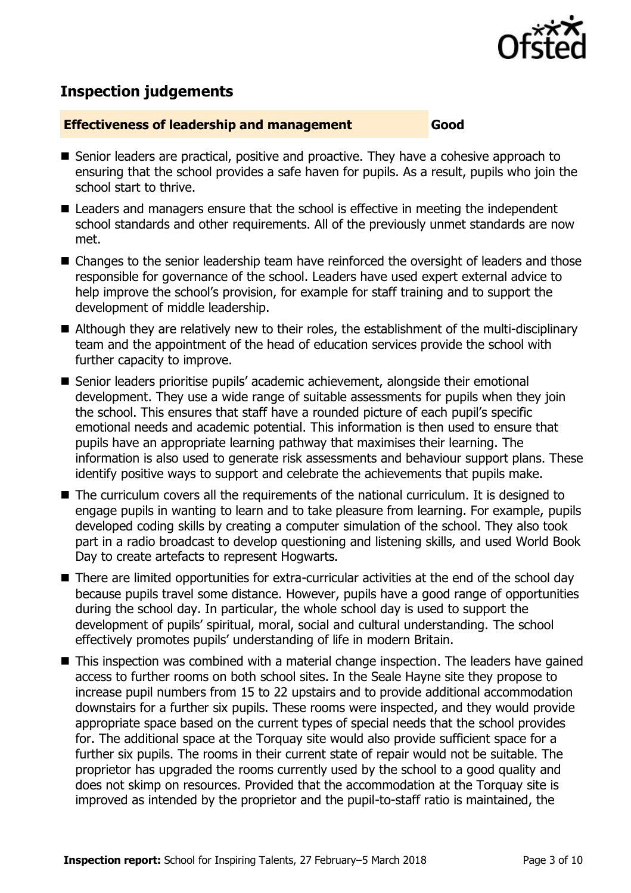

# **Inspection judgements**

#### **Effectiveness of leadership and management Good**

- Senior leaders are practical, positive and proactive. They have a cohesive approach to ensuring that the school provides a safe haven for pupils. As a result, pupils who join the school start to thrive.
- Leaders and managers ensure that the school is effective in meeting the independent school standards and other requirements. All of the previously unmet standards are now met.
- Changes to the senior leadership team have reinforced the oversight of leaders and those responsible for governance of the school. Leaders have used expert external advice to help improve the school's provision, for example for staff training and to support the development of middle leadership.
- Although they are relatively new to their roles, the establishment of the multi-disciplinary team and the appointment of the head of education services provide the school with further capacity to improve.
- Senior leaders prioritise pupils' academic achievement, alongside their emotional development. They use a wide range of suitable assessments for pupils when they join the school. This ensures that staff have a rounded picture of each pupil's specific emotional needs and academic potential. This information is then used to ensure that pupils have an appropriate learning pathway that maximises their learning. The information is also used to generate risk assessments and behaviour support plans. These identify positive ways to support and celebrate the achievements that pupils make.
- The curriculum covers all the requirements of the national curriculum. It is designed to engage pupils in wanting to learn and to take pleasure from learning. For example, pupils developed coding skills by creating a computer simulation of the school. They also took part in a radio broadcast to develop questioning and listening skills, and used World Book Day to create artefacts to represent Hogwarts.
- There are limited opportunities for extra-curricular activities at the end of the school day because pupils travel some distance. However, pupils have a good range of opportunities during the school day. In particular, the whole school day is used to support the development of pupils' spiritual, moral, social and cultural understanding. The school effectively promotes pupils' understanding of life in modern Britain.
- This inspection was combined with a material change inspection. The leaders have gained access to further rooms on both school sites. In the Seale Hayne site they propose to increase pupil numbers from 15 to 22 upstairs and to provide additional accommodation downstairs for a further six pupils. These rooms were inspected, and they would provide appropriate space based on the current types of special needs that the school provides for. The additional space at the Torquay site would also provide sufficient space for a further six pupils. The rooms in their current state of repair would not be suitable. The proprietor has upgraded the rooms currently used by the school to a good quality and does not skimp on resources. Provided that the accommodation at the Torquay site is improved as intended by the proprietor and the pupil-to-staff ratio is maintained, the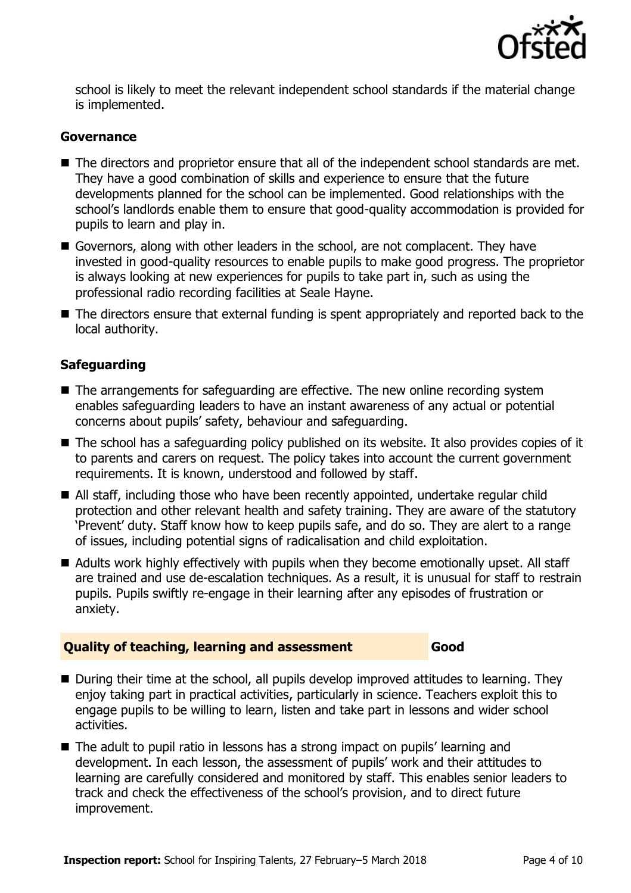

school is likely to meet the relevant independent school standards if the material change is implemented.

#### **Governance**

- The directors and proprietor ensure that all of the independent school standards are met. They have a good combination of skills and experience to ensure that the future developments planned for the school can be implemented. Good relationships with the school's landlords enable them to ensure that good-quality accommodation is provided for pupils to learn and play in.
- Governors, along with other leaders in the school, are not complacent. They have invested in good-quality resources to enable pupils to make good progress. The proprietor is always looking at new experiences for pupils to take part in, such as using the professional radio recording facilities at Seale Hayne.
- The directors ensure that external funding is spent appropriately and reported back to the local authority.

#### **Safeguarding**

- The arrangements for safeguarding are effective. The new online recording system enables safeguarding leaders to have an instant awareness of any actual or potential concerns about pupils' safety, behaviour and safeguarding.
- The school has a safeguarding policy published on its website. It also provides copies of it to parents and carers on request. The policy takes into account the current government requirements. It is known, understood and followed by staff.
- All staff, including those who have been recently appointed, undertake regular child protection and other relevant health and safety training. They are aware of the statutory 'Prevent' duty. Staff know how to keep pupils safe, and do so. They are alert to a range of issues, including potential signs of radicalisation and child exploitation.
- Adults work highly effectively with pupils when they become emotionally upset. All staff are trained and use de-escalation techniques. As a result, it is unusual for staff to restrain pupils. Pupils swiftly re-engage in their learning after any episodes of frustration or anxiety.

#### **Quality of teaching, learning and assessment Good**

- During their time at the school, all pupils develop improved attitudes to learning. They enjoy taking part in practical activities, particularly in science. Teachers exploit this to engage pupils to be willing to learn, listen and take part in lessons and wider school activities.
- The adult to pupil ratio in lessons has a strong impact on pupils' learning and development. In each lesson, the assessment of pupils' work and their attitudes to learning are carefully considered and monitored by staff. This enables senior leaders to track and check the effectiveness of the school's provision, and to direct future improvement.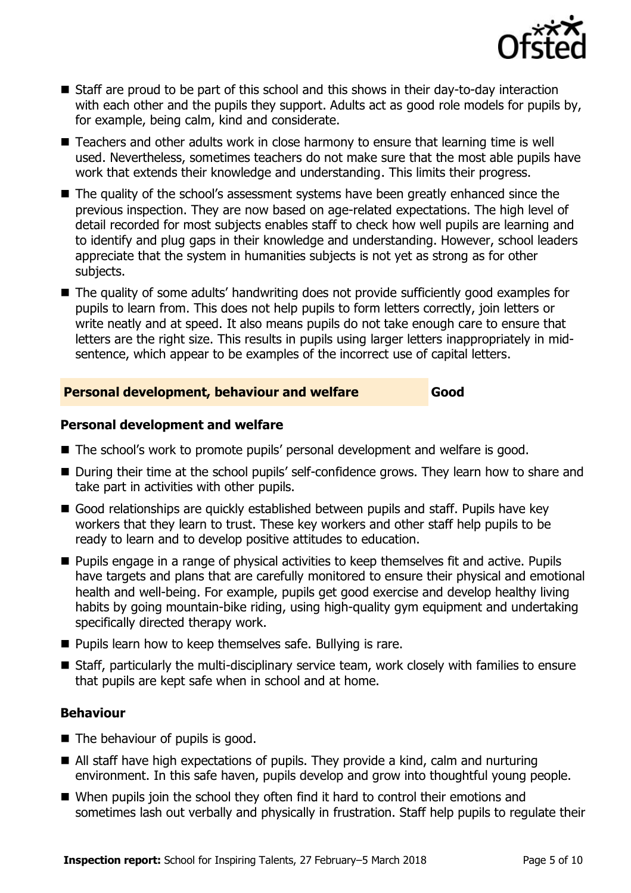

- Staff are proud to be part of this school and this shows in their day-to-day interaction with each other and the pupils they support. Adults act as good role models for pupils by, for example, being calm, kind and considerate.
- Teachers and other adults work in close harmony to ensure that learning time is well used. Nevertheless, sometimes teachers do not make sure that the most able pupils have work that extends their knowledge and understanding. This limits their progress.
- The quality of the school's assessment systems have been greatly enhanced since the previous inspection. They are now based on age-related expectations. The high level of detail recorded for most subjects enables staff to check how well pupils are learning and to identify and plug gaps in their knowledge and understanding. However, school leaders appreciate that the system in humanities subjects is not yet as strong as for other subjects.
- The quality of some adults' handwriting does not provide sufficiently good examples for pupils to learn from. This does not help pupils to form letters correctly, join letters or write neatly and at speed. It also means pupils do not take enough care to ensure that letters are the right size. This results in pupils using larger letters inappropriately in midsentence, which appear to be examples of the incorrect use of capital letters.

#### **Personal development, behaviour and welfare Good**

#### **Personal development and welfare**

- The school's work to promote pupils' personal development and welfare is good.
- During their time at the school pupils' self-confidence grows. They learn how to share and take part in activities with other pupils.
- Good relationships are quickly established between pupils and staff. Pupils have key workers that they learn to trust. These key workers and other staff help pupils to be ready to learn and to develop positive attitudes to education.
- **Pupils engage in a range of physical activities to keep themselves fit and active. Pupils** have targets and plans that are carefully monitored to ensure their physical and emotional health and well-being. For example, pupils get good exercise and develop healthy living habits by going mountain-bike riding, using high-quality gym equipment and undertaking specifically directed therapy work.
- **Pupils learn how to keep themselves safe. Bullying is rare.**
- Staff, particularly the multi-disciplinary service team, work closely with families to ensure that pupils are kept safe when in school and at home.

#### **Behaviour**

- The behaviour of pupils is good.
- All staff have high expectations of pupils. They provide a kind, calm and nurturing environment. In this safe haven, pupils develop and grow into thoughtful young people.
- When pupils join the school they often find it hard to control their emotions and sometimes lash out verbally and physically in frustration. Staff help pupils to regulate their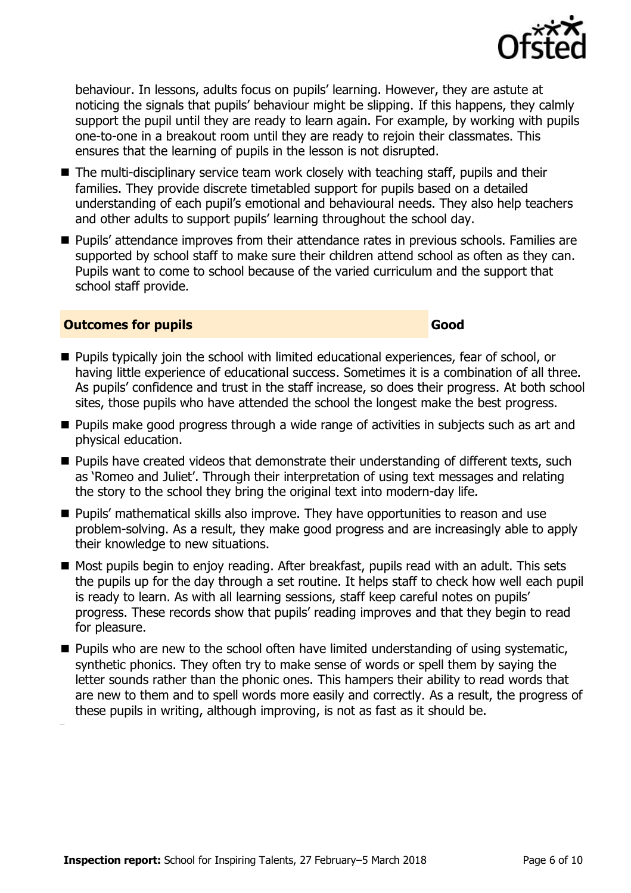

**Outcomes for pupils Good** 

behaviour. In lessons, adults focus on pupils' learning. However, they are astute at noticing the signals that pupils' behaviour might be slipping. If this happens, they calmly support the pupil until they are ready to learn again. For example, by working with pupils one-to-one in a breakout room until they are ready to rejoin their classmates. This ensures that the learning of pupils in the lesson is not disrupted.

- The multi-disciplinary service team work closely with teaching staff, pupils and their families. They provide discrete timetabled support for pupils based on a detailed understanding of each pupil's emotional and behavioural needs. They also help teachers and other adults to support pupils' learning throughout the school day.
- **Pupils' attendance improves from their attendance rates in previous schools. Families are** supported by school staff to make sure their children attend school as often as they can. Pupils want to come to school because of the varied curriculum and the support that school staff provide.

- **Pupils typically join the school with limited educational experiences, fear of school, or** having little experience of educational success. Sometimes it is a combination of all three. As pupils' confidence and trust in the staff increase, so does their progress. At both school sites, those pupils who have attended the school the longest make the best progress.
- **Pupils make good progress through a wide range of activities in subjects such as art and** physical education.
- **Pupils have created videos that demonstrate their understanding of different texts, such** as 'Romeo and Juliet'. Through their interpretation of using text messages and relating the story to the school they bring the original text into modern-day life.
- **Pupils' mathematical skills also improve. They have opportunities to reason and use** problem-solving. As a result, they make good progress and are increasingly able to apply their knowledge to new situations.
- Most pupils begin to enjoy reading. After breakfast, pupils read with an adult. This sets the pupils up for the day through a set routine. It helps staff to check how well each pupil is ready to learn. As with all learning sessions, staff keep careful notes on pupils' progress. These records show that pupils' reading improves and that they begin to read for pleasure.
- **Pupils who are new to the school often have limited understanding of using systematic,** synthetic phonics. They often try to make sense of words or spell them by saying the letter sounds rather than the phonic ones. This hampers their ability to read words that are new to them and to spell words more easily and correctly. As a result, the progress of these pupils in writing, although improving, is not as fast as it should be.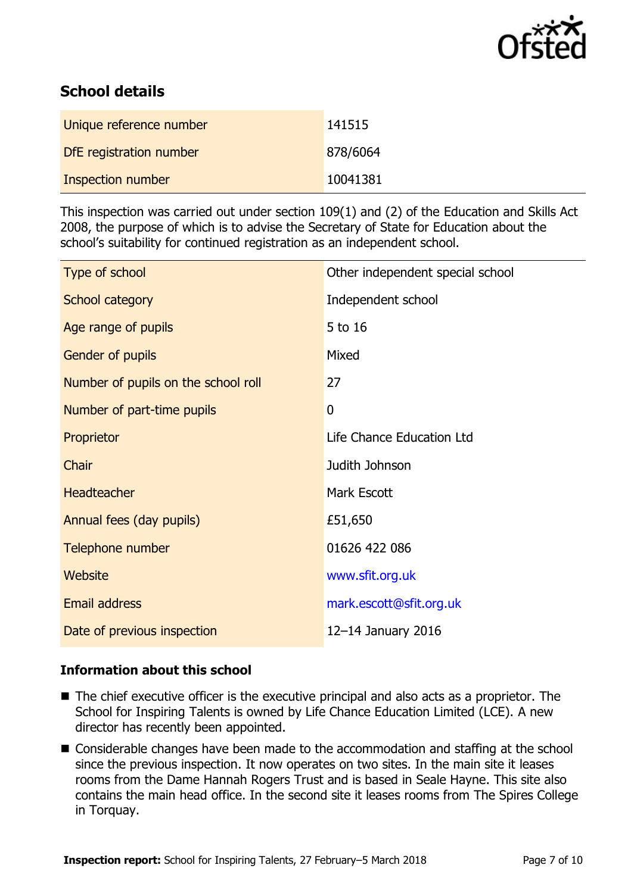

# **School details**

| Unique reference number | 141515   |
|-------------------------|----------|
| DfE registration number | 878/6064 |
| Inspection number       | 10041381 |

This inspection was carried out under section 109(1) and (2) of the Education and Skills Act 2008, the purpose of which is to advise the Secretary of State for Education about the school's suitability for continued registration as an independent school.

| Type of school                      | Other independent special school |
|-------------------------------------|----------------------------------|
| School category                     | Independent school               |
| Age range of pupils                 | 5 to 16                          |
| Gender of pupils                    | Mixed                            |
| Number of pupils on the school roll | 27                               |
| Number of part-time pupils          | $\mathbf 0$                      |
| Proprietor                          | Life Chance Education Ltd        |
| Chair                               | Judith Johnson                   |
| <b>Headteacher</b>                  | Mark Escott                      |
| Annual fees (day pupils)            | £51,650                          |
| Telephone number                    | 01626 422 086                    |
| <b>Website</b>                      | www.sfit.org.uk                  |
| <b>Email address</b>                | mark.escott@sfit.org.uk          |
| Date of previous inspection         | 12-14 January 2016               |

#### **Information about this school**

- The chief executive officer is the executive principal and also acts as a proprietor. The School for Inspiring Talents is owned by Life Chance Education Limited (LCE). A new director has recently been appointed.
- Considerable changes have been made to the accommodation and staffing at the school since the previous inspection. It now operates on two sites. In the main site it leases rooms from the Dame Hannah Rogers Trust and is based in Seale Hayne. This site also contains the main head office. In the second site it leases rooms from The Spires College in Torquay.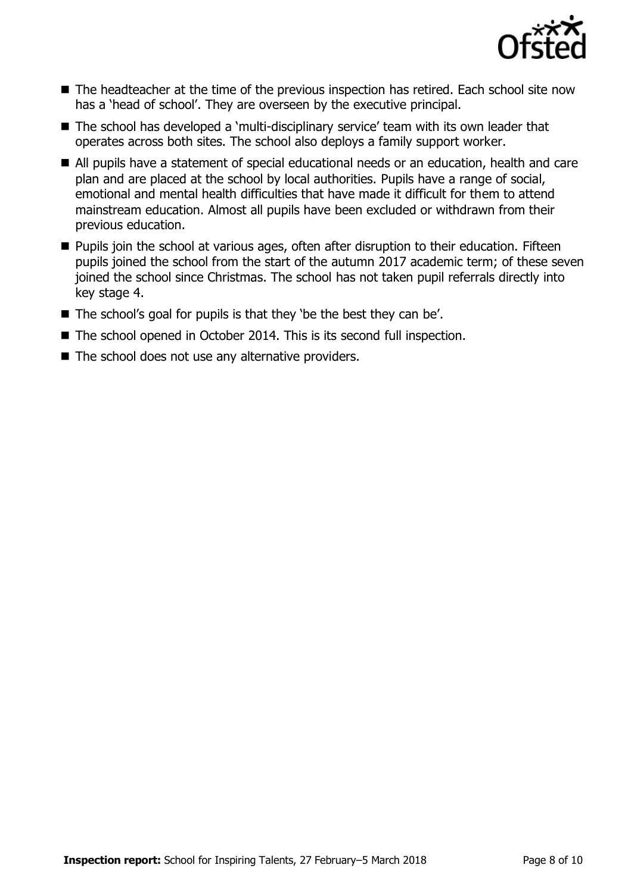

- The headteacher at the time of the previous inspection has retired. Each school site now has a 'head of school'. They are overseen by the executive principal.
- The school has developed a 'multi-disciplinary service' team with its own leader that operates across both sites. The school also deploys a family support worker.
- All pupils have a statement of special educational needs or an education, health and care plan and are placed at the school by local authorities. Pupils have a range of social, emotional and mental health difficulties that have made it difficult for them to attend mainstream education. Almost all pupils have been excluded or withdrawn from their previous education.
- **Pupils join the school at various ages, often after disruption to their education. Fifteen** pupils joined the school from the start of the autumn 2017 academic term; of these seven joined the school since Christmas. The school has not taken pupil referrals directly into key stage 4.
- The school's goal for pupils is that they 'be the best they can be'.
- The school opened in October 2014. This is its second full inspection.
- $\blacksquare$  The school does not use any alternative providers.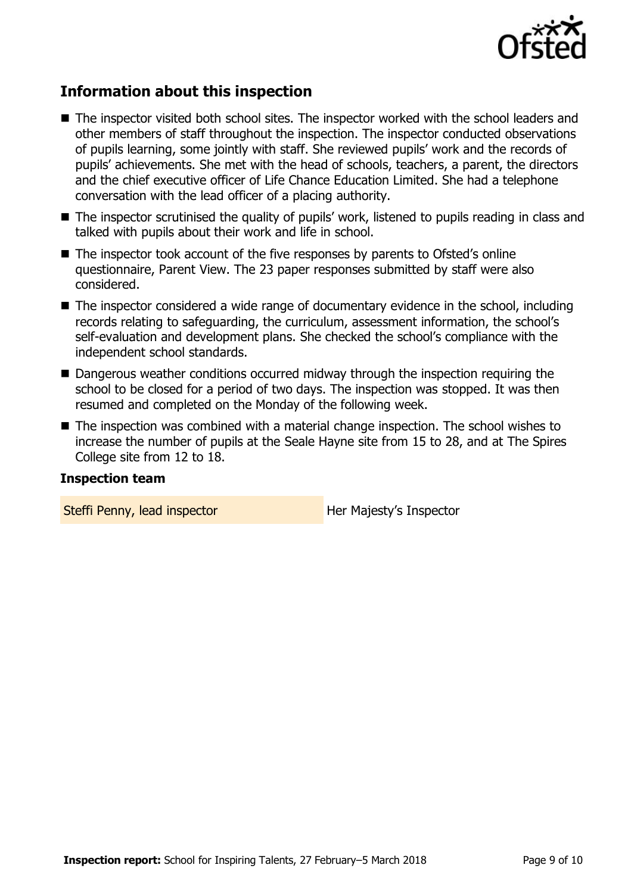

## **Information about this inspection**

- The inspector visited both school sites. The inspector worked with the school leaders and other members of staff throughout the inspection. The inspector conducted observations of pupils learning, some jointly with staff. She reviewed pupils' work and the records of pupils' achievements. She met with the head of schools, teachers, a parent, the directors and the chief executive officer of Life Chance Education Limited. She had a telephone conversation with the lead officer of a placing authority.
- The inspector scrutinised the quality of pupils' work, listened to pupils reading in class and talked with pupils about their work and life in school.
- The inspector took account of the five responses by parents to Ofsted's online questionnaire, Parent View. The 23 paper responses submitted by staff were also considered.
- The inspector considered a wide range of documentary evidence in the school, including records relating to safeguarding, the curriculum, assessment information, the school's self-evaluation and development plans. She checked the school's compliance with the independent school standards.
- Dangerous weather conditions occurred midway through the inspection requiring the school to be closed for a period of two days. The inspection was stopped. It was then resumed and completed on the Monday of the following week.
- The inspection was combined with a material change inspection. The school wishes to increase the number of pupils at the Seale Hayne site from 15 to 28, and at The Spires College site from 12 to 18.

#### **Inspection team**

Steffi Penny, lead inspector **Her Majesty's Inspector**